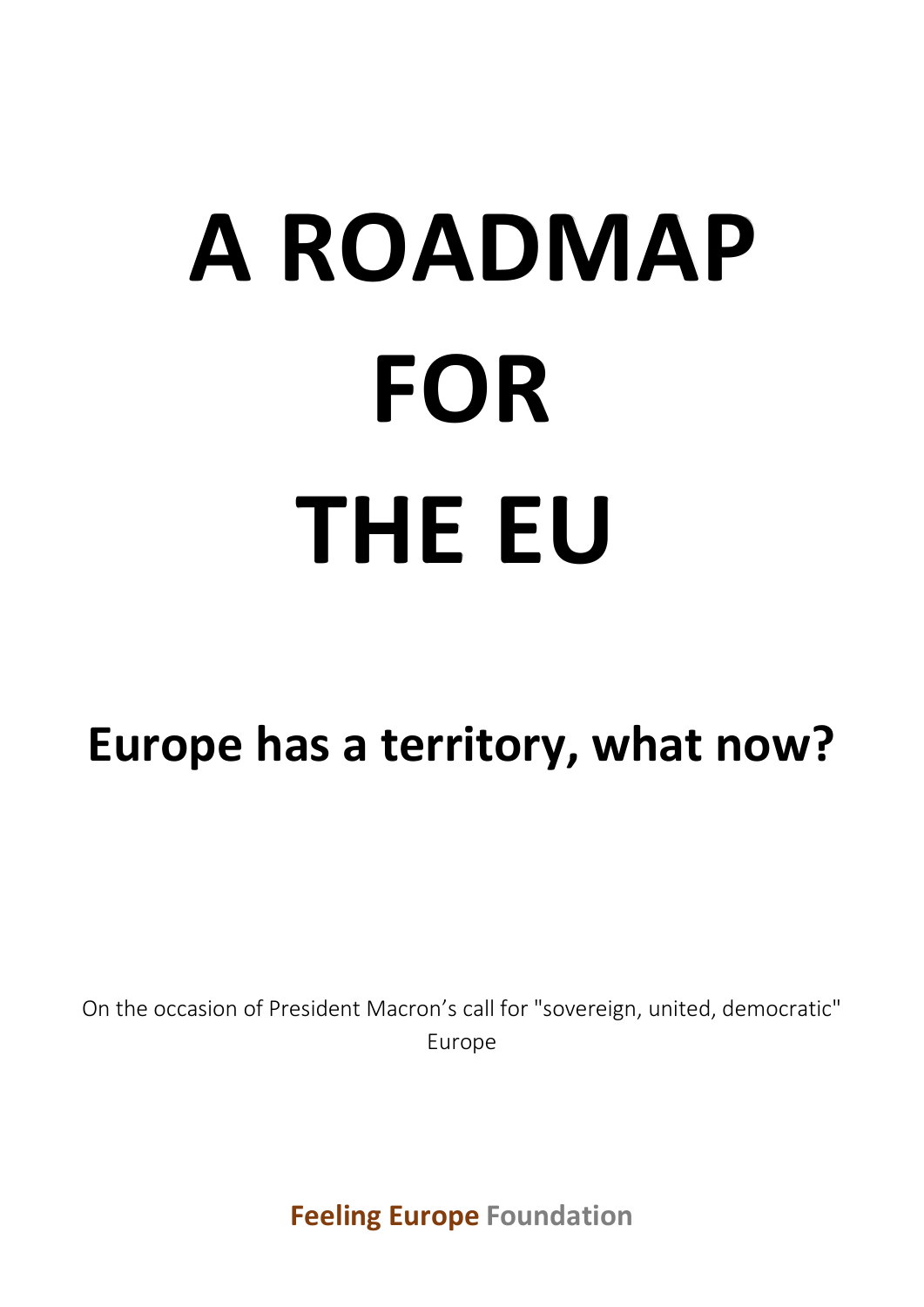# **Europe has a territory, what now?**

On the occasion of President Macron's call for "sovereign, united, democratic" Europe

**[Feeling Europe](http://www.feelingeurope.eu/Pages/Why%20feelingeurope.html) [Foundation](http://www.feelingeurope.eu/Pages/Why%20feelingeurope.html)**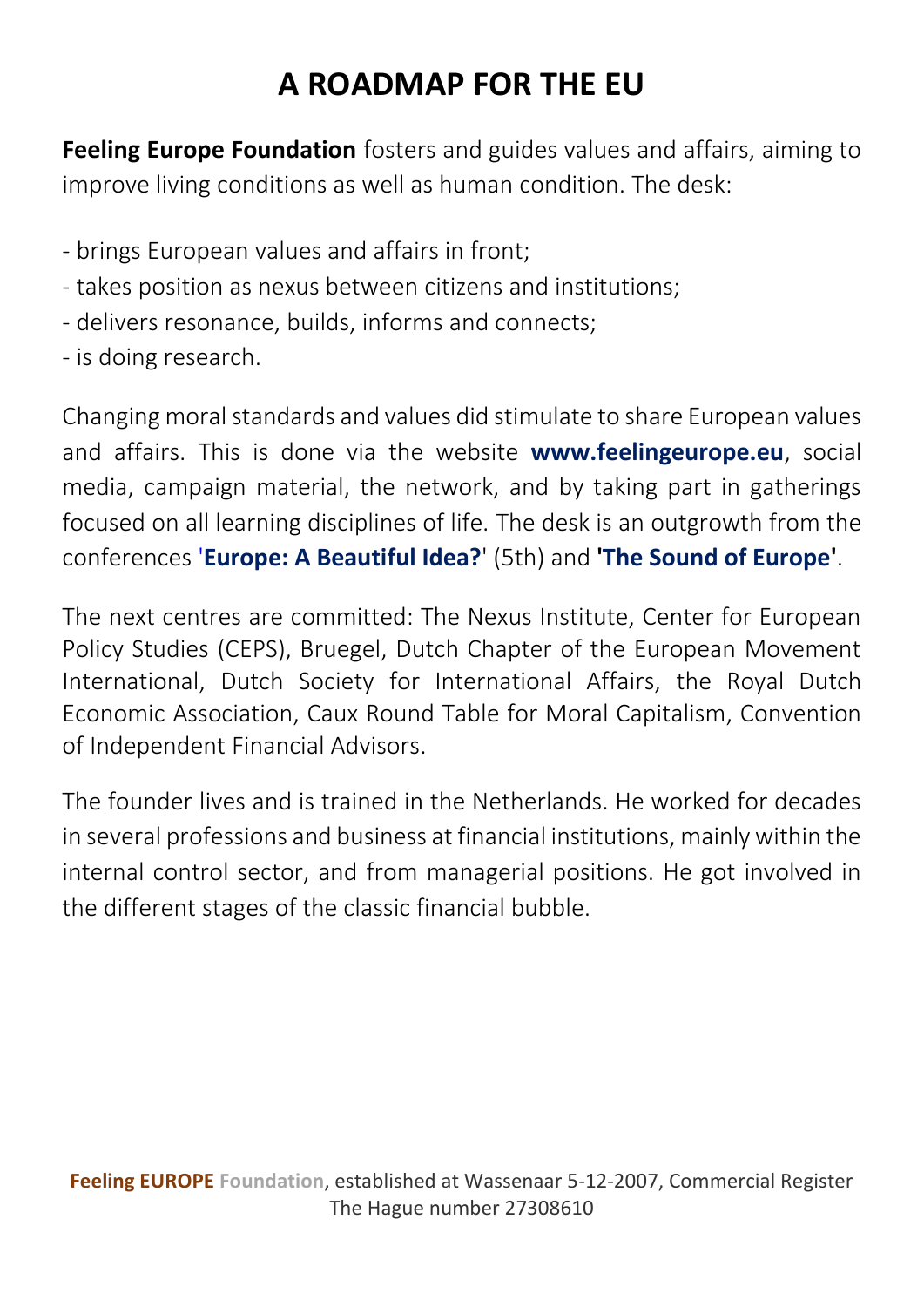**Feeling Europe Foundation** fosters and guides values and affairs, aiming to improve living conditions as well as human condition. The desk:

- brings European values and affairs in front;
- takes position as nexus between citizens and institutions;
- delivers resonance, builds, informs and connects;
- is doing research.

Changing moral standards and values did stimulate to share European values and affairs. This is done via the website **[www.feelingeurope.eu](http://www.feelingeurope.eu/)**, social media, campaign material, the network, and by taking part in gatherings focused on all learning disciplines of life. The desk is an outgrowth from the conferences '**[Europe: A Beautiful Idea?](http://www.feelingeurope.eu/Pages/europe%20a%20beautiful%20idea.pdf)**' (5th) and **['The Sound of Europe'](https://web.archive.org/web/20170328022215/http:/www.eu2006.at/en/The_Council_Presidency/Conference_The_Sound_of_Europe/index.html)**.

The next centres are committed: The Nexus Institute, Center for European Policy Studies (CEPS), Bruegel, Dutch Chapter of the European Movement International, Dutch Society for International Affairs, the Royal Dutch Economic Association, Caux Round Table for Moral Capitalism, Convention of Independent Financial Advisors.

The founder lives and is trained in the Netherlands. He worked for decades in several professions and business at financial institutions, mainly within the internal control sector, and from managerial positions. He got involved in the different stages of the classic financial bubble.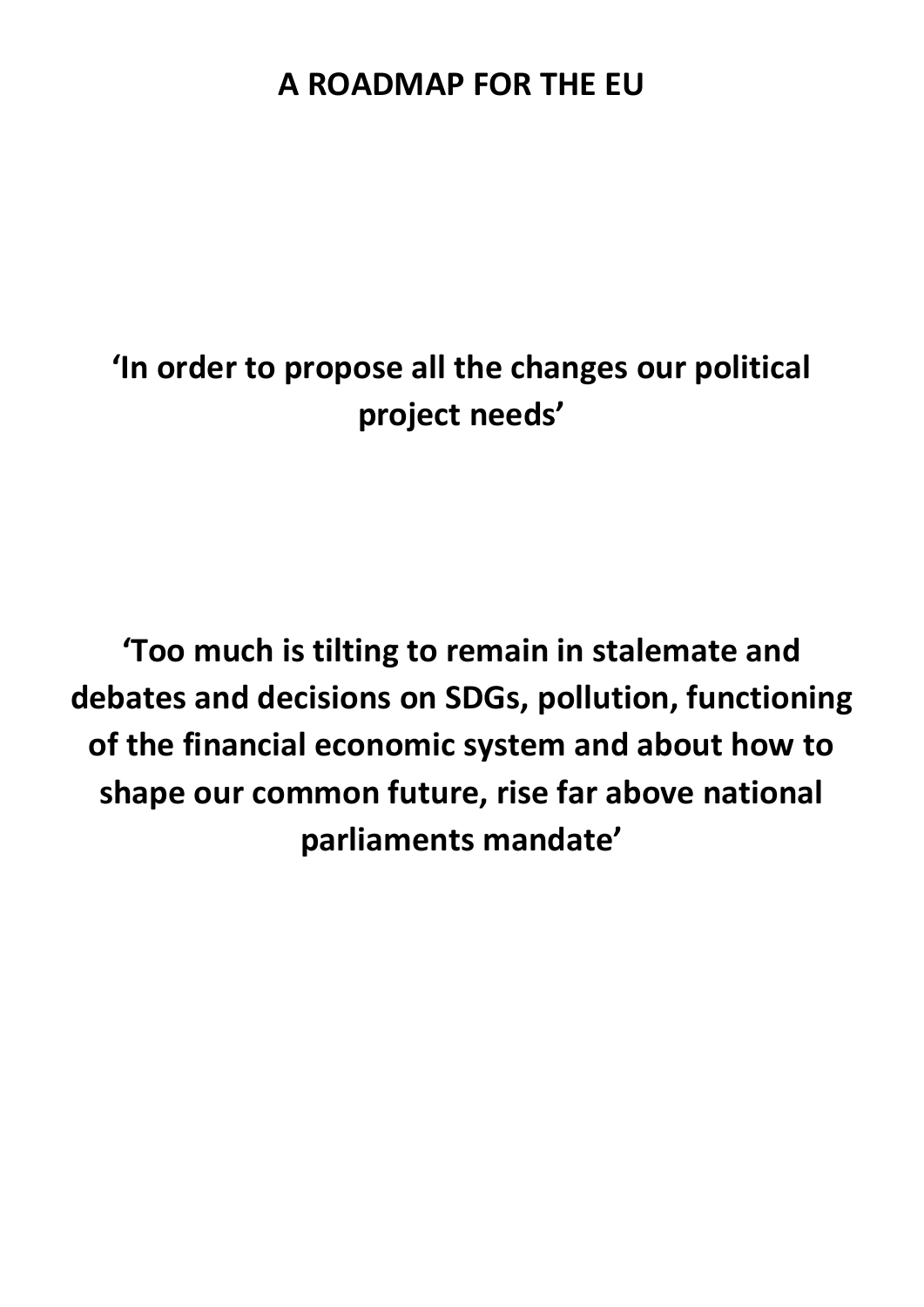# **'In order to propose all the changes our political project needs'**

**'Too much is tilting to remain in stalemate and debates and decisions on SDGs, pollution, functioning of the financial economic system and about how to shape our common future, rise far above national parliaments mandate'**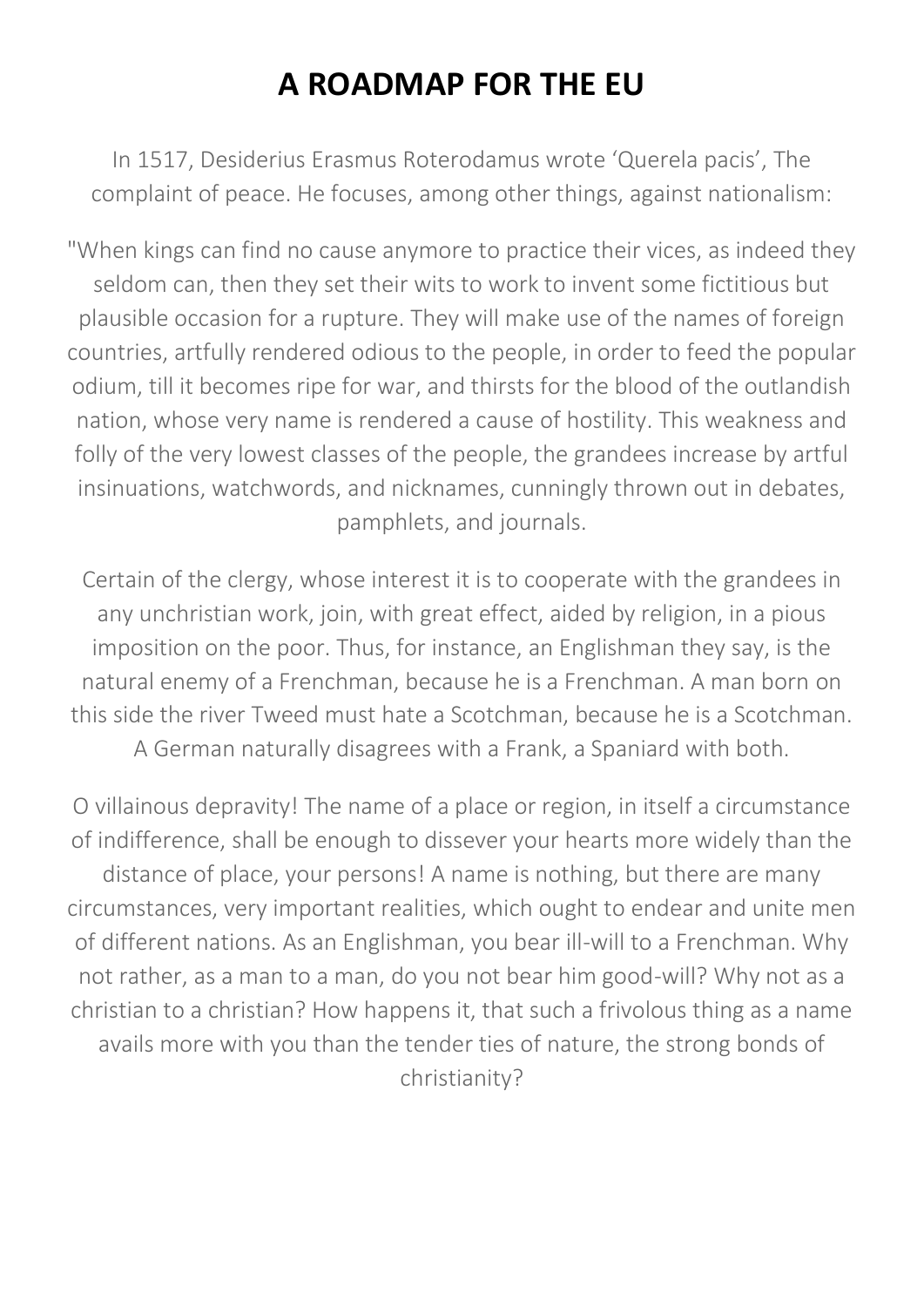In 1517, Desiderius Erasmus Roterodamus wrote 'Querela pacis', The complaint of peace. He focuses, among other things, against nationalism:

"When kings can find no cause anymore to practice their vices, as indeed they seldom can, then they set their wits to work to invent some fictitious but plausible occasion for a rupture. They will make use of the names of foreign countries, artfully rendered odious to the people, in order to feed the popular odium, till it becomes ripe for war, and thirsts for the blood of the outlandish nation, whose very name is rendered a cause of hostility. This weakness and folly of the very lowest classes of the people, the grandees increase by artful insinuations, watchwords, and nicknames, cunningly thrown out in debates, pamphlets, and journals.

Certain of the clergy, whose interest it is to cooperate with the grandees in any unchristian work, join, with great effect, aided by religion, in a pious imposition on the poor. Thus, for instance, an Englishman they say, is the natural enemy of a Frenchman, because he is a Frenchman. A man born on this side the river Tweed must hate a Scotchman, because he is a Scotchman. A German naturally disagrees with a Frank, a Spaniard with both.

O villainous depravity! The name of a place or region, in itself a circumstance of indifference, shall be enough to dissever your hearts more widely than the distance of place, your persons! A name is nothing, but there are many circumstances, very important realities, which ought to endear and unite men of different nations. As an Englishman, you bear ill-will to a Frenchman. Why not rather, as a man to a man, do you not bear him good-will? Why not as a christian to a christian? How happens it, that such a frivolous thing as a name avails more with you than the tender ties of nature, the strong bonds of christianity?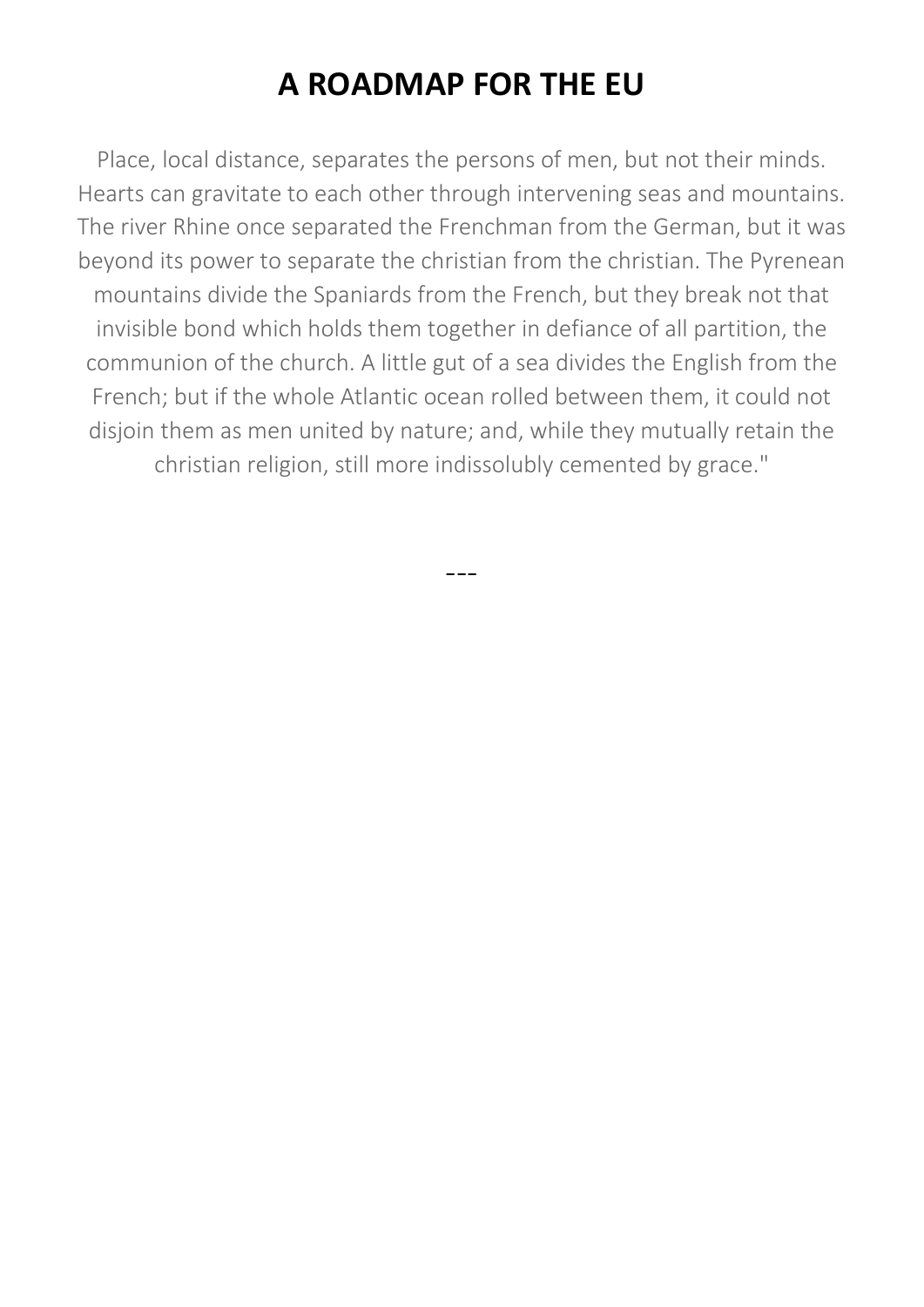Place, local distance, separates the persons of men, but not their minds. Hearts can gravitate to each other through intervening seas and mountains. The river Rhine once separated the Frenchman from the German, but it was beyond its power to separate the christian from the christian. The Pyrenean mountains divide the Spaniards from the French, but they break not that invisible bond which holds them together in defiance of all partition, the communion of the church. A little gut of a sea divides the English from the French; but if the whole Atlantic ocean rolled between them, it could not disjoin them as men united by nature; and, while they mutually retain the christian religion, still more indissolubly cemented by grace."

---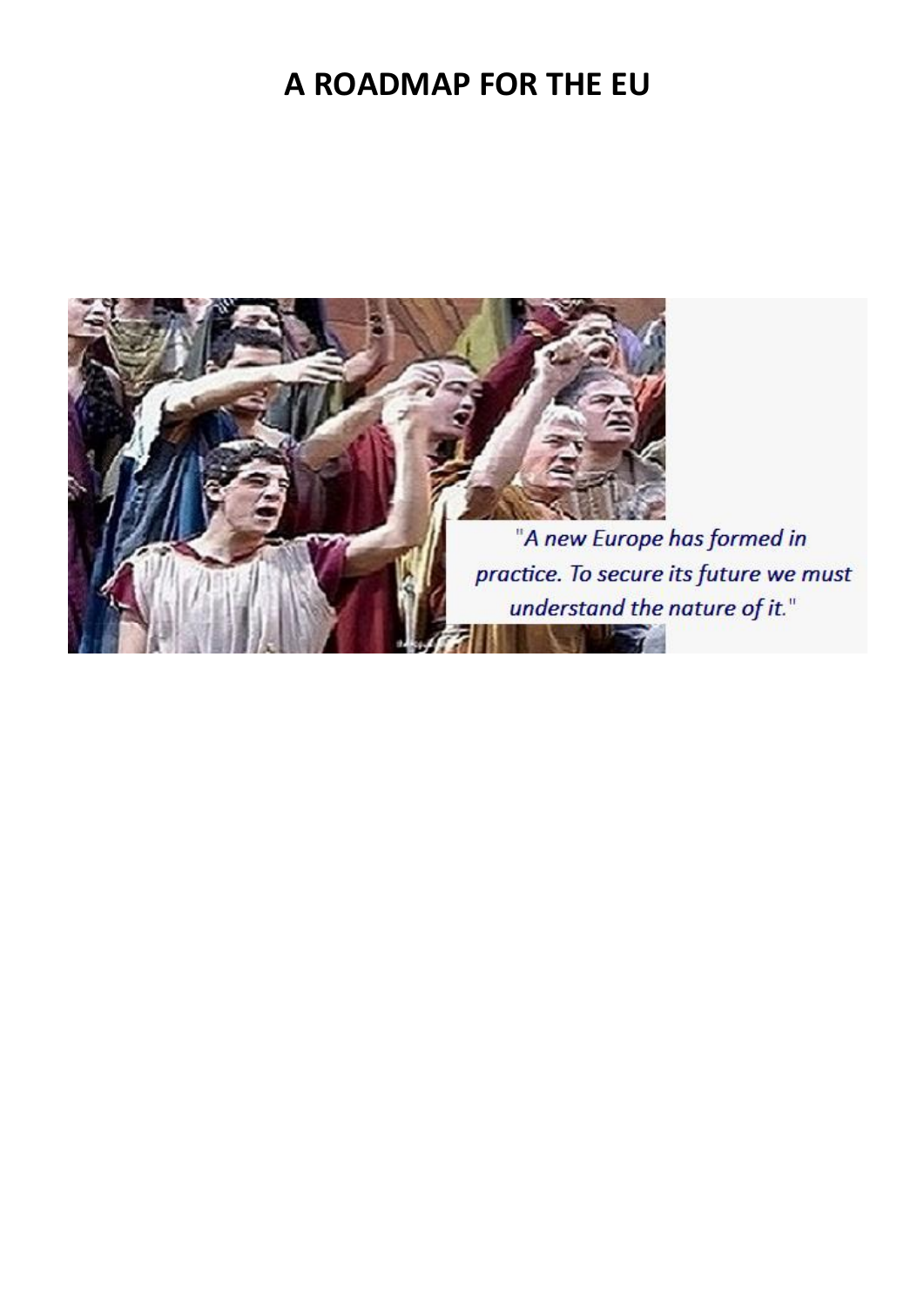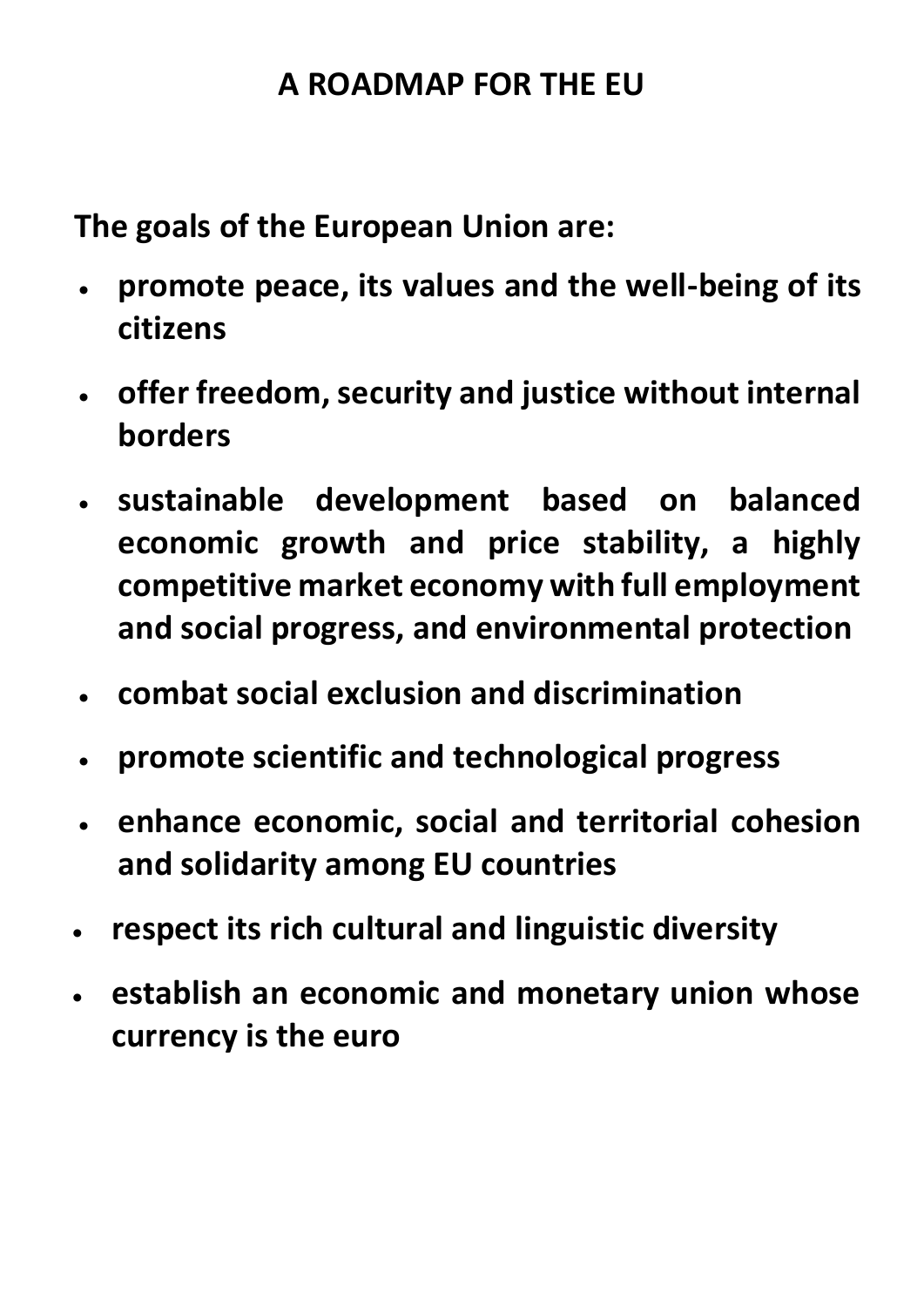**The goals of the European Union are:**

- **promote peace, its values and the well-being of its citizens**
- **offer freedom, security and justice without internal borders**
- **sustainable development based on balanced economic growth and price stability, a highly competitive market economy with full employment and social progress, and environmental protection**
- **combat social exclusion and discrimination**
- **promote scientific and technological progress**
- **enhance economic, social and territorial cohesion and solidarity among EU countries**
- **respect its rich cultural and linguistic diversity**
- **establish an economic and monetary union whose currency is the euro**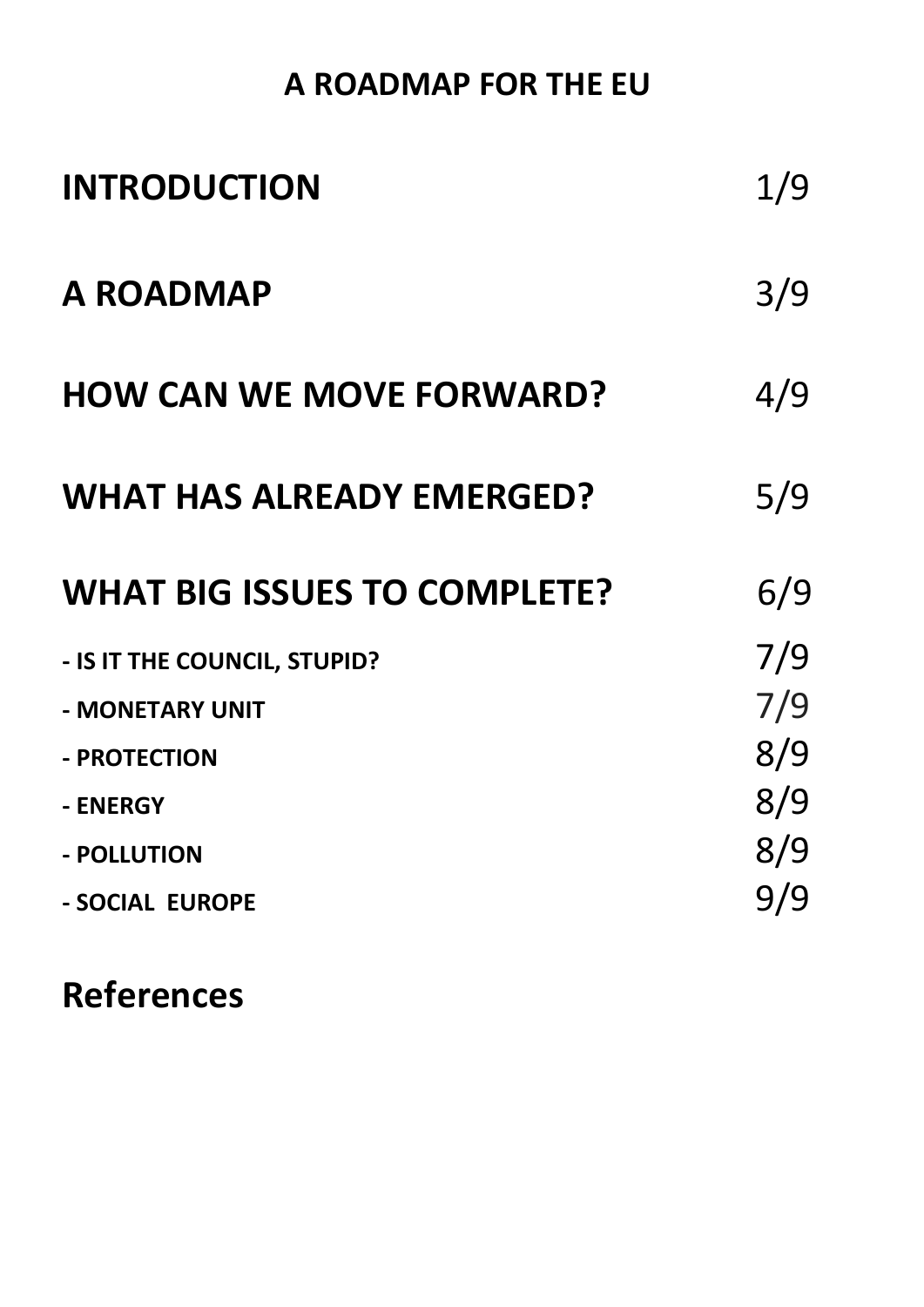| <b>INTRODUCTION</b>                 | 1/9 |
|-------------------------------------|-----|
| <b>A ROADMAP</b>                    | 3/9 |
| <b>HOW CAN WE MOVE FORWARD?</b>     | 4/9 |
| <b>WHAT HAS ALREADY EMERGED?</b>    | 5/9 |
|                                     |     |
| <b>WHAT BIG ISSUES TO COMPLETE?</b> | 6/9 |
| - IS IT THE COUNCIL, STUPID?        | 7/9 |
| - MONETARY UNIT                     | 7/9 |
| - PROTECTION                        | 8/9 |
| - ENERGY                            | 8/9 |
| - POLLUTION                         | 8/9 |

# **References**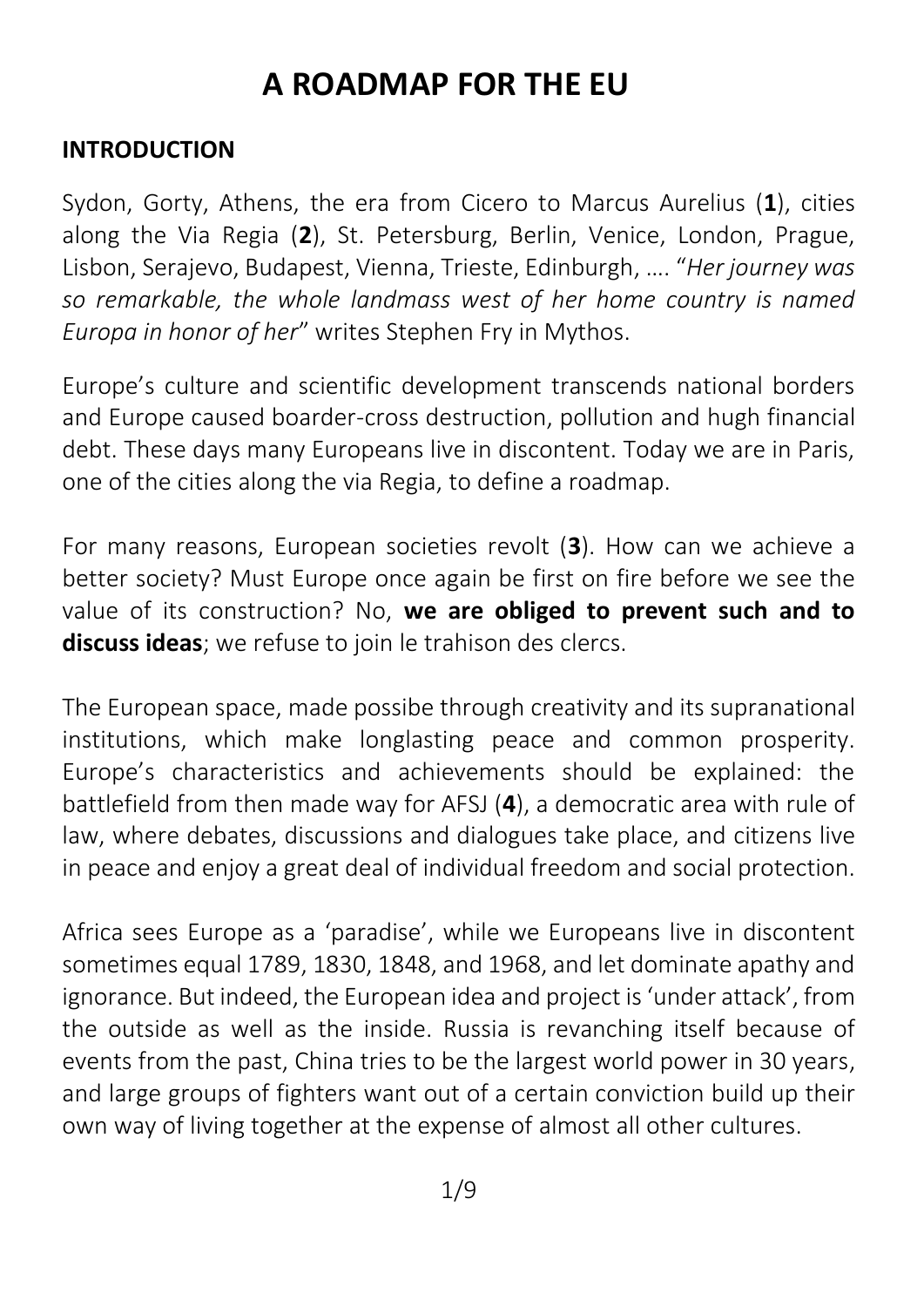#### **INTRODUCTION**

Sydon, Gorty, Athens, the era from Cicero to Marcus Aurelius (**1**), cities along the Via Regia (**2**), St. Petersburg, Berlin, Venice, London, Prague, Lisbon, Serajevo, Budapest, Vienna, Trieste, Edinburgh, …. "*Her journey was so remarkable, the whole landmass west of her home country is named Europa in honor of her*" writes Stephen Fry in Mythos.

Europe's culture and scientific development transcends national borders and Europe caused boarder-cross destruction, pollution and hugh financial debt. These days many Europeans live in discontent. Today we are in Paris, one of the cities along the via Regia, to define a roadmap.

For many reasons, European societies revolt (**3**). How can we achieve a better society? Must Europe once again be first on fire before we see the value of its construction? No, **we are obliged to prevent such and to discuss ideas**; we refuse to join le trahison des clercs.

The European space, made possibe through creativity and its supranational institutions, which make longlasting peace and common prosperity. Europe's characteristics and achievements should be explained: the battlefield from then made way for AFSJ (**4**), a democratic area with rule of law, where debates, discussions and dialogues take place, and citizens live in peace and enjoy a great deal of individual freedom and social protection.

Africa sees Europe as a 'paradise', while we Europeans live in discontent sometimes equal 1789, 1830, 1848, and 1968, and let dominate apathy and ignorance. But indeed, the European idea and project is 'under attack', from the outside as well as the inside. Russia is revanching itself because of events from the past, China tries to be the largest world power in 30 years, and large groups of fighters want out of a certain conviction build up their own way of living together at the expense of almost all other cultures.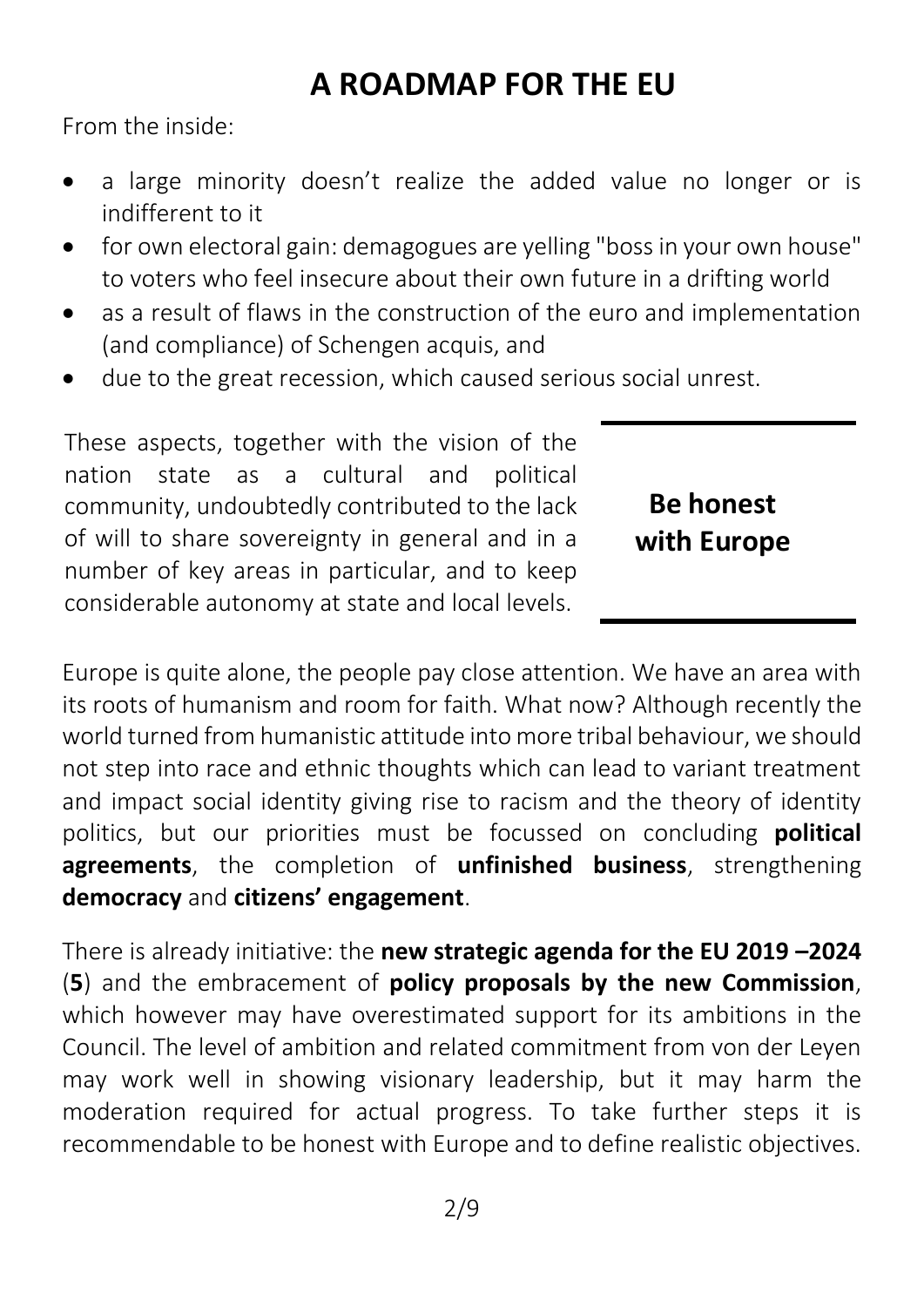From the inside:

- a large minority doesn't realize the added value no longer or is indifferent to it
- for own electoral gain: demagogues are yelling "boss in your own house" to voters who feel insecure about their own future in a drifting world
- as a result of flaws in the construction of the euro and implementation (and compliance) of Schengen acquis, and
- due to the great recession, which caused serious social unrest.

These aspects, together with the vision of the nation state as a cultural and political community, undoubtedly contributed to the lack of will to share sovereignty in general and in a number of key areas in particular, and to keep considerable autonomy at state and local levels.

**Be honest with Europe**

Europe is quite alone, the people pay close attention. We have an area with its roots of humanism and room for faith. What now? Although recently the world turned from humanistic attitude into more tribal behaviour, we should not step into race and ethnic thoughts which can lead to variant treatment and impact social identity giving rise to racism and the theory of identity politics, but our priorities must be focussed on concluding **political agreements**, the completion of **unfinished business**, strengthening **democracy** and **citizens' engagement**.

There is already initiative: the **new strategic agenda for the EU 2019 –2024** (**5**) and the embracement of **policy proposals by the new Commission**, which however may have overestimated support for its ambitions in the Council. The level of ambition and related commitment from von der Leyen may work well in showing visionary leadership, but it may harm the moderation required for actual progress. To take further steps it is recommendable to be honest with Europe and to define realistic objectives.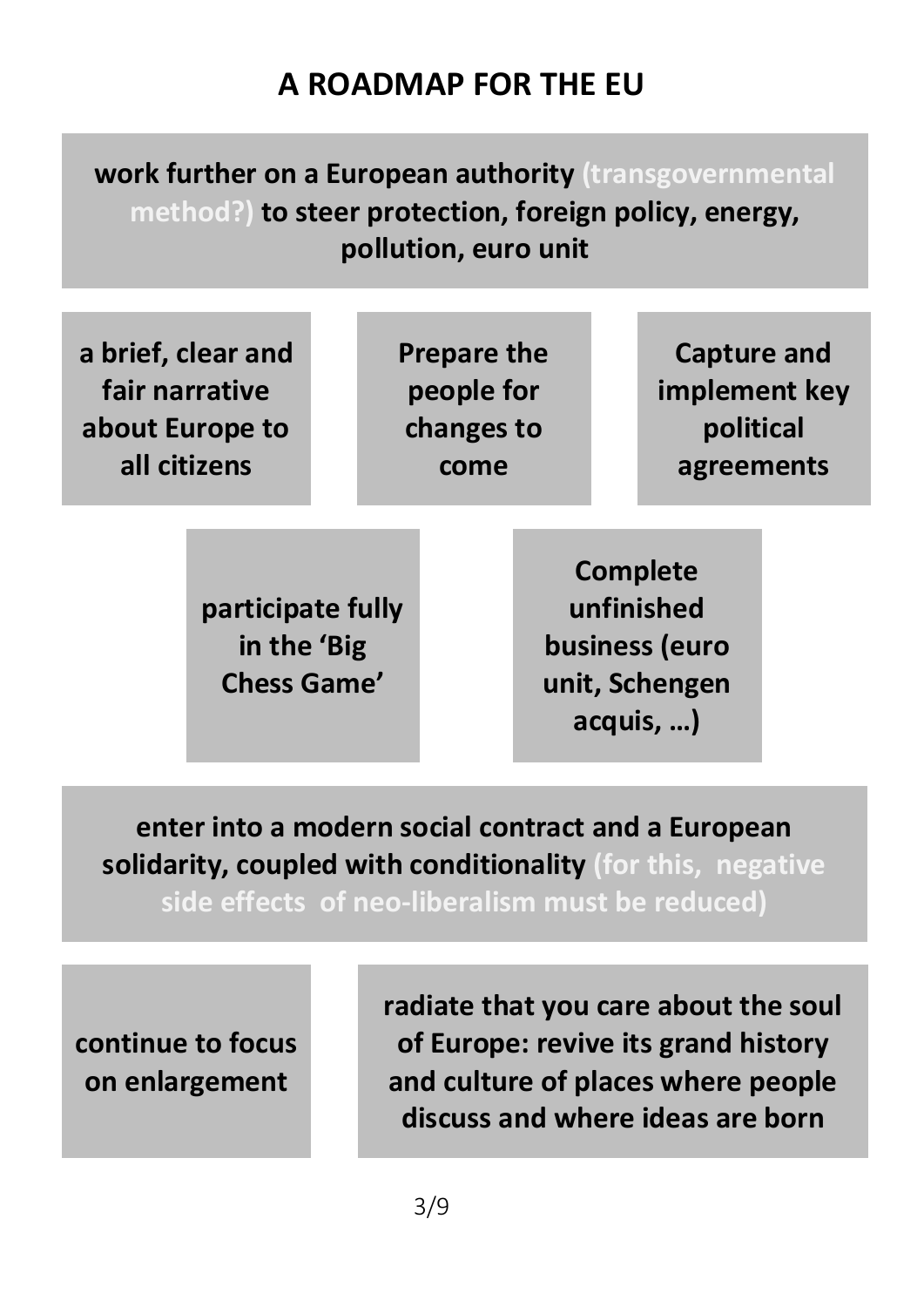## **work further on a European authority (transgovernmental method?) to steer protection, foreign policy, energy, pollution, euro unit**

| a brief, clear and<br>fair narrative<br>about Europe to<br>all citizens |                                                        |  | <b>Prepare the</b><br>people for<br>changes to<br>come |                                                                       |  | Capture and<br>implement key<br>political<br>agreements |  |
|-------------------------------------------------------------------------|--------------------------------------------------------|--|--------------------------------------------------------|-----------------------------------------------------------------------|--|---------------------------------------------------------|--|
|                                                                         | participate fully<br>in the 'Big<br><b>Chess Game'</b> |  |                                                        | Complete<br>unfinished<br>business (euro<br>unit, Schengen<br>acquis, |  |                                                         |  |

**enter into a modern social contract and a European solidarity, coupled with conditionality (for this, negative** 

**side effects of neo-liberalism must be reduced)**

**continue to focus on enlargement**

**radiate that you care about the soul of Europe: revive its grand history and culture of places where people discuss and where ideas are born**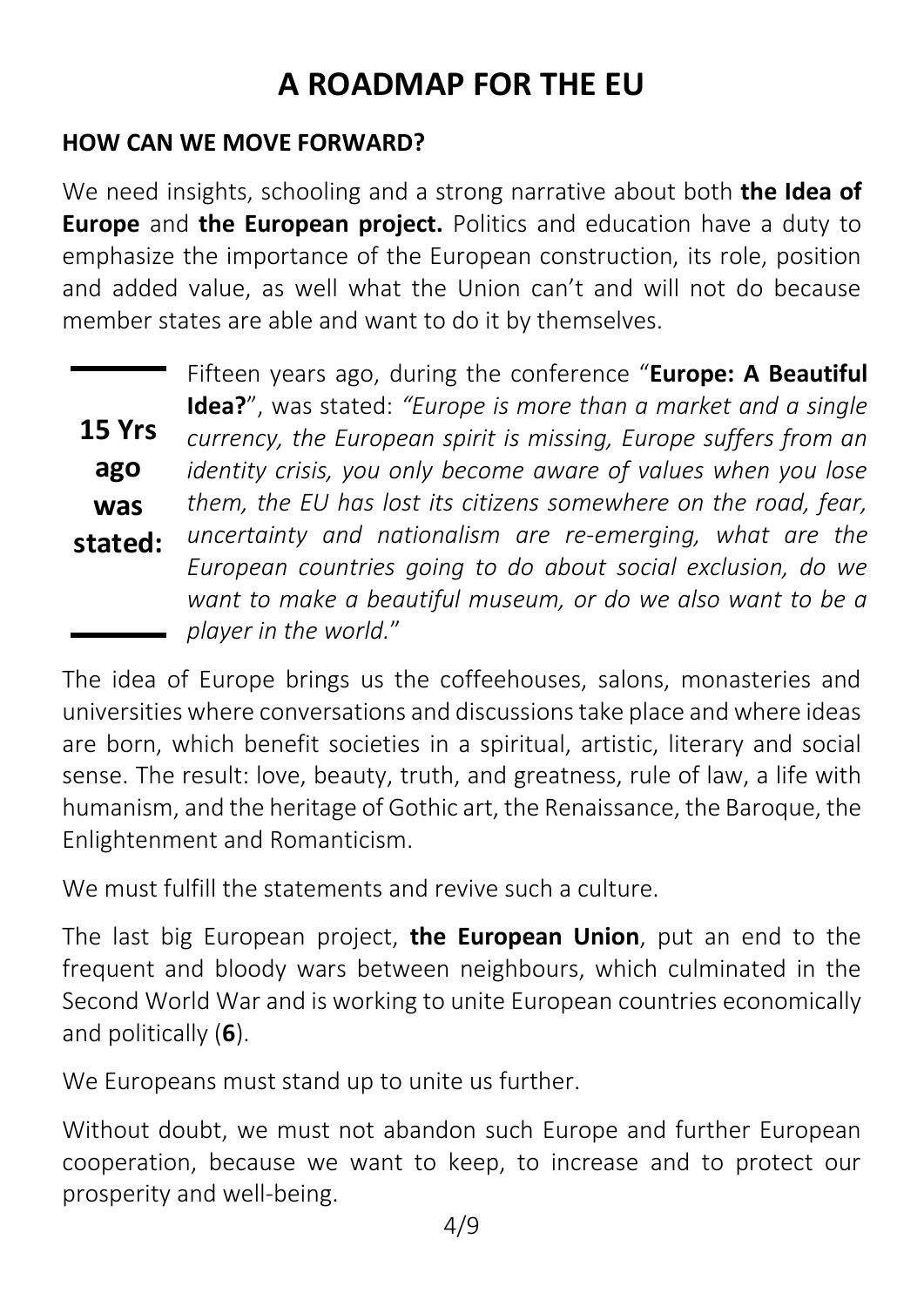#### **HOW CAN WE MOVE FORWARD?**

We need insights, schooling and a strong narrative about both **the Idea of Europe** and **the European project.** Politics and education have a duty to emphasize the importance of the European construction, its role, position and added value, as well what the Union can't and will not do because member states are able and want to do it by themselves.

|         | Fifteen years ago, during the conference "Europe: A Beautiful                                                                                        |
|---------|------------------------------------------------------------------------------------------------------------------------------------------------------|
|         | <b>Idea?</b> ", was stated: "Europe is more than a market and a single                                                                               |
| 15 Yrs  | currency, the European spirit is missing, Europe suffers from an                                                                                     |
| ago     | identity crisis, you only become aware of values when you lose                                                                                       |
| was     | them, the EU has lost its citizens somewhere on the road, fear,                                                                                      |
| stated: | uncertainty and nationalism are re-emerging, what are the                                                                                            |
|         | European countries going to do about social exclusion, do we<br>want to make a beautiful museum, or do we also want to be a<br>player in the world." |

The idea of Europe brings us the coffeehouses, salons, monasteries and universities where conversations and discussions take place and where ideas are born, which benefit societies in a spiritual, artistic, literary and social sense. The result: love, beauty, truth, and greatness, rule of law, a life with humanism, and the heritage of Gothic art, the Renaissance, the Baroque, the Enlightenment and Romanticism.

We must fulfill the statements and revive such a culture.

The last big European project, **the European Union**, put an end to the frequent and bloody wars between neighbours, which culminated in the Second World War and is working to unite European countries economically and politically (**6**).

We Europeans must stand up to unite us further.

Without doubt, we must not abandon such Europe and further European cooperation, because we want to keep, to increase and to protect our prosperity and well-being.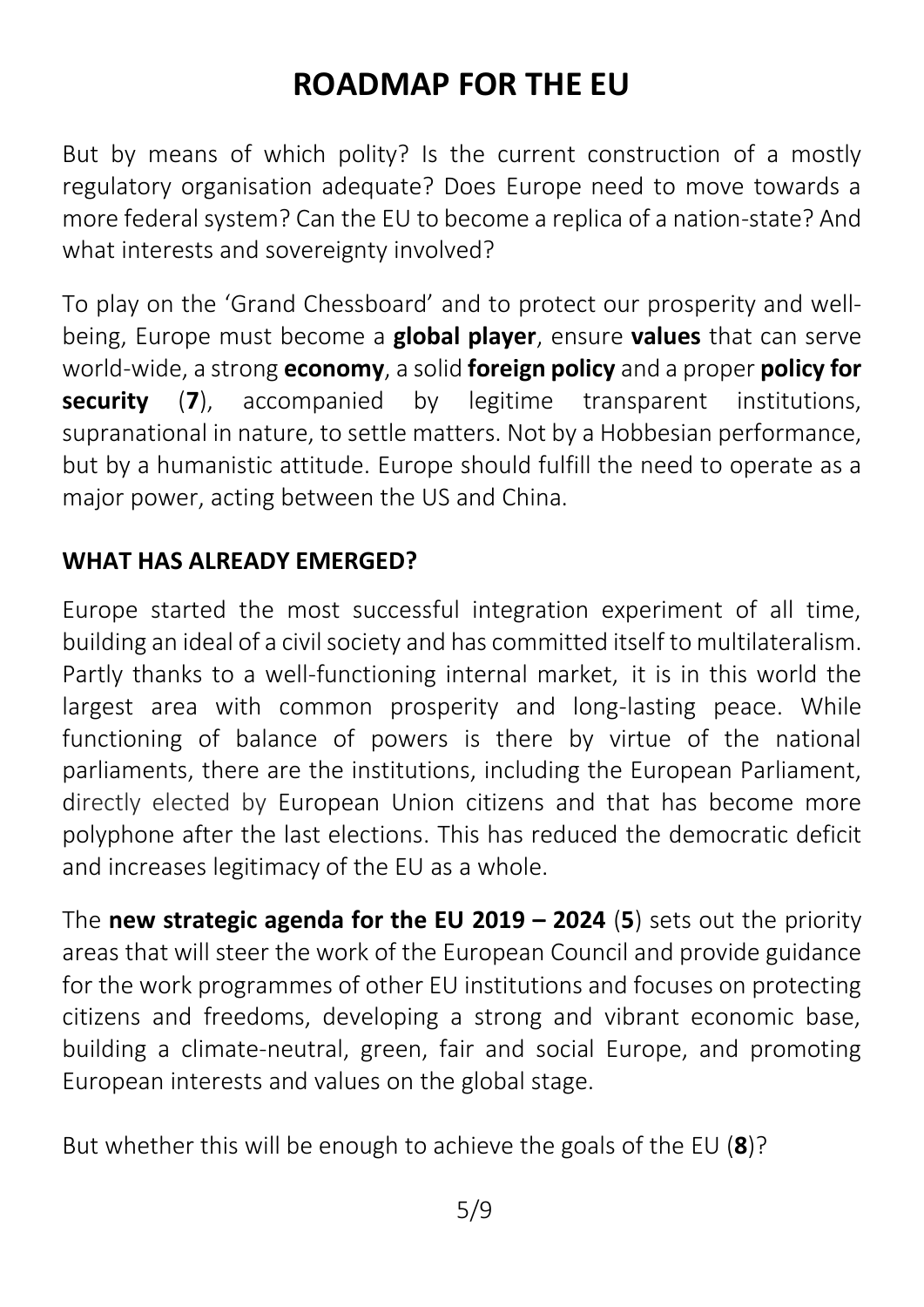But by means of which polity? Is the current construction of a mostly regulatory organisation adequate? Does Europe need to move towards a more federal system? Can the EU to become a replica of a nation-state? And what interests and sovereignty involved?

To play on the 'Grand Chessboard' and to protect our prosperity and [well](http://www.feelingeurope.eu/Pages/well-being.html)[being,](http://www.feelingeurope.eu/Pages/well-being.html) Europe must become a **global player**, ensure **values** that can serve world-wide, a strong **economy**, a solid **foreign policy** and a proper **policy for security** (**7**), accompanied by legitime transparent institutions, supranational in nature, to settle matters. Not by a Hobbesian performance, but by a humanistic attitude. Europe should fulfill the need to operate as a major power, acting between the US and China.

#### **WHAT HAS ALREADY EMERGED?**

Europe started the most successful integration experiment of all time, building an ideal of a civil society and has committed itself to multilateralism. Partly thanks to a well-functioning internal market, it is in this world the largest area with common prosperity and long-lasting peace. While functioning of balance of powers is there by virtue of the national parliaments, there are the institutions, including the European Parliament, directly elected by European Union citizens and that has become more polyphone after the last elections. This has reduced the democratic deficit and increases legitimacy of the EU as a whole.

The **new strategic agenda for the EU 2019 – 2024** (**5**) sets out the priority areas that will steer the work of the European Council and provide guidance for the work programmes of other EU institutions and focuses on protecting citizens and freedoms, developing a strong and vibrant economic base, building a climate-neutral, green, fair and social Europe, and promoting European interests and values on the global stage.

But whether this will be enough to achieve the goals of the EU (**8**)?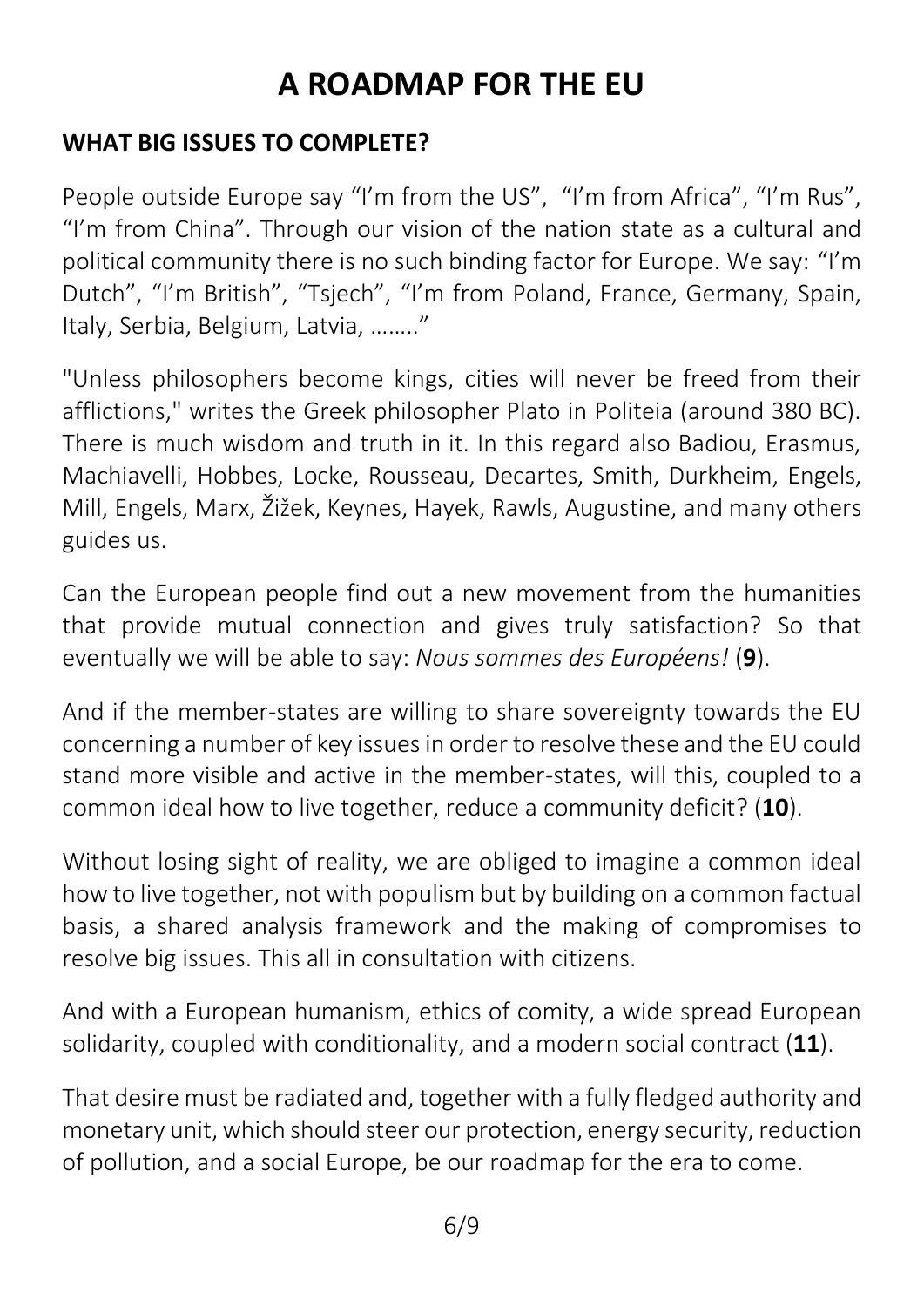#### **WHAT BIG ISSUES TO COMPLETE?**

People outside Europe say "I'm from the US", "I'm from Africa", "I'm Rus", "I'm from China". Through our vision of the nation state as a cultural and political community there is no such binding factor for Europe. We say: "I'm Dutch", "I'm British", "Tsjech", "I'm from Poland, France, Germany, Spain, Italy, Serbia, Belgium, Latvia, …….."

"Unless philosophers become kings, cities will never be freed from their afflictions," writes the Greek philosopher Plato in Politeia (around 380 BC). There is much wisdom and truth in it. In this regard also Badiou, Erasmus, Machiavelli, Hobbes, Locke, Rousseau, Decartes, Smith, Durkheim, Engels, Mill, Engels, Marx, Žižek, Keynes, Hayek, Rawls, Augustine, and many others guides us.

Can the European people find out a new movement from the humanities that provide mutual connection and gives truly satisfaction? So that eventually we will be able to say: *Nous sommes des Européens!* (**9**).

And if the member-states are willing to share sovereignty towards the EU concerning a number of key issues in order to resolve these and the EU could stand more visible and active in the member-states, will this, coupled to a common ideal how to live together, reduce a community deficit? (**10**).

Without losing sight of reality, we are obliged to imagine a common ideal how to live together, not with populism but by building on a common factual basis, a shared analysis framework and the making of compromises to resolve big issues. This all in consultation with citizens.

And with a European humanism, ethics of comity, a wide spread European solidarity, coupled with conditionality, and a modern social contract (**11**).

That desire must be radiated and, together with a fully fledged authority and monetary unit, which should steer our protection, energy security, reduction of pollution, and a social Europe, be our roadmap for the era to come.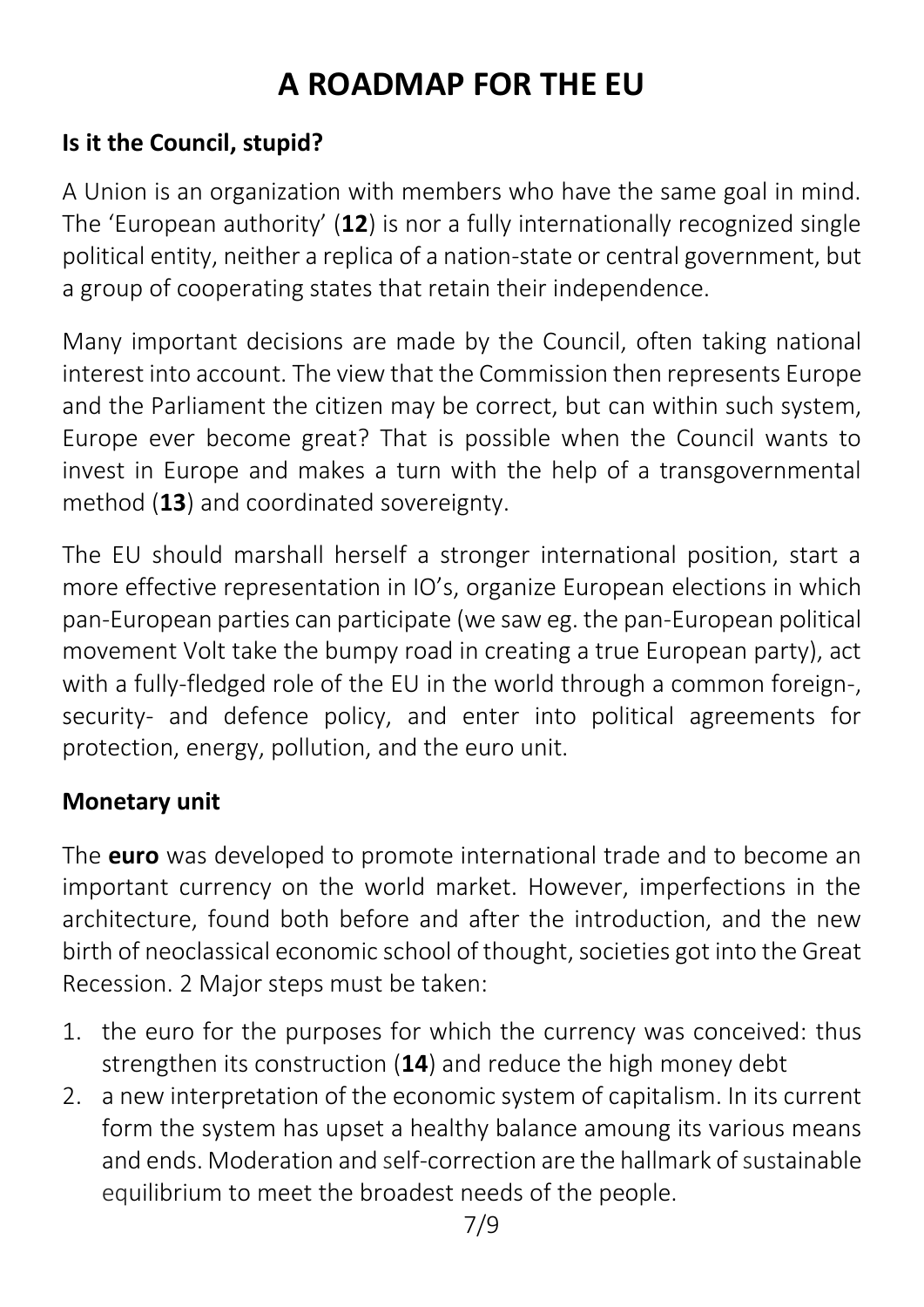#### **Is it the Council, stupid?**

A Union is an organization with members who have the same goal in mind. The 'European authority' (**12**) is nor a fully internationally recognized single political entity, neither a replica of a nation-state or central government, but a group of cooperating states that retain their independence.

Many important decisions are made by the Council, often taking national interest into account. The view that the Commission then represents Europe and the Parliament the citizen may be correct, but can within such system, Europe ever become great? That is possible when the Council wants to invest in Europe and makes a turn with the help of a transgovernmental method (**13**) and coordinated sovereignty.

The EU should marshall herself a stronger international position, start a more effective representation in IO's, organize European elections in which pan-European parties can participate (we saw eg. the pan-European political movement Volt take the bumpy road in creating a true European party), act with a fully-fledged role of the EU in the world through a common foreign-, security- and defence policy, and enter into political agreements for protection, energy, pollution, and the euro unit.

#### **Monetary unit**

The **euro** was developed to promote international trade and to become an important currency on the world market. However, imperfections in the architecture, found both before and after the introduction, and the new birth of neoclassical economic school of thought, societies got into the Great Recession. 2 Major steps must be taken:

- 1. the euro for the purposes for which the currency was conceived: thus strengthen its construction (**14**) and reduce the high money debt
- 2. a new interpretation of the economic system of capitalism. In its current form the system has upset a healthy balance amoung its various means and ends. Moderation and self-correction are the hallmark of sustainable equilibrium to meet the broadest needs of the people.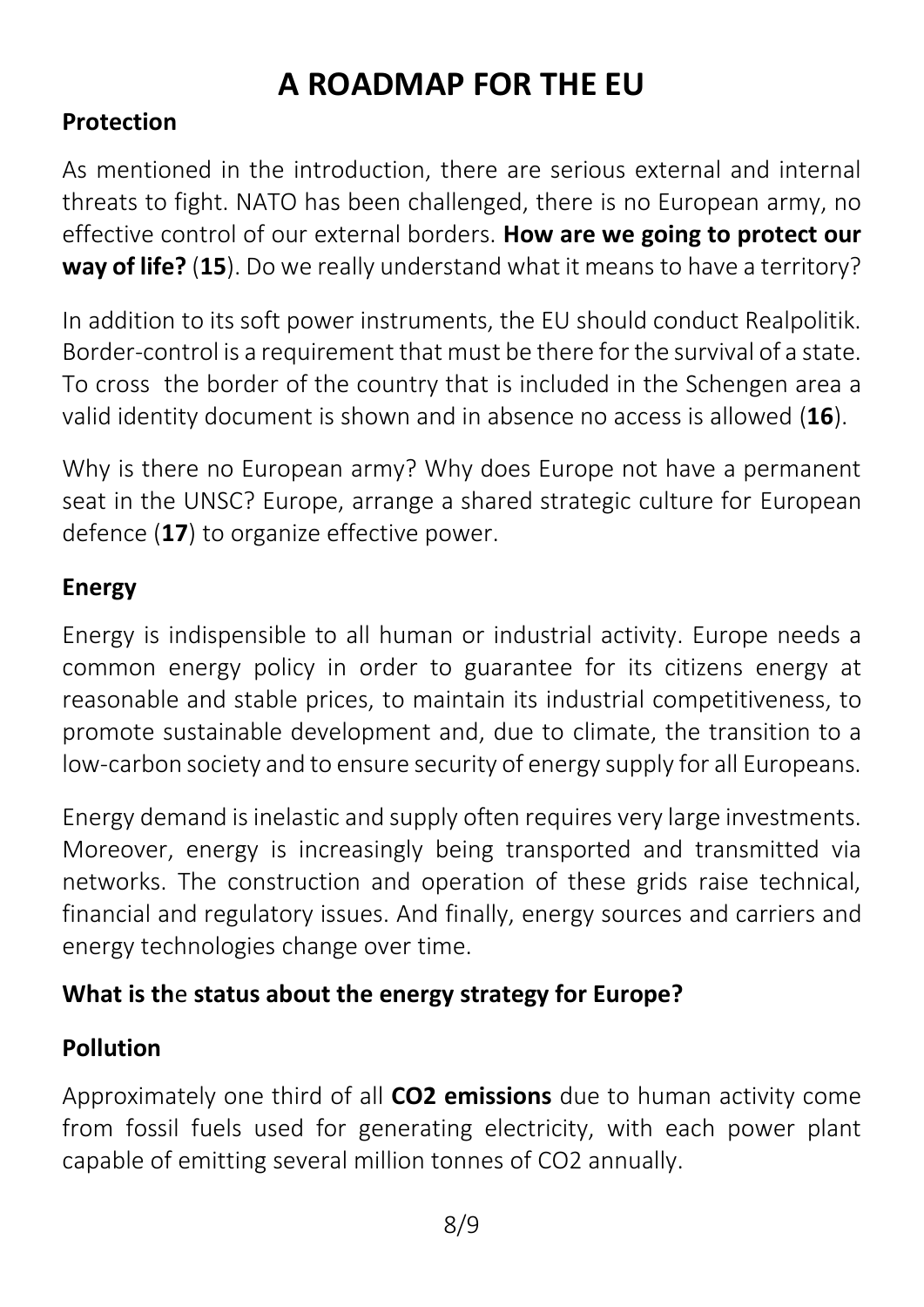## **Protection**

As mentioned in the introduction, there are serious external and internal threats to fight. NATO has been challenged, there is no European army, no effective control of our external borders. **How are we going to protect our way of life?** (**15**). Do we really understand what it means to have a territory?

In addition to its soft power instruments, the EU should conduct Realpolitik. Border-control is a requirement that must be there for the survival of a state. To cross the border of the country that is included in the Schengen area a valid identity document is shown and in absence no access is allowed (**16**).

Why is there no European army? Why does Europe not have a permanent seat in the UNSC? Europe, arrange a shared strategic culture for European defence (**17**) to organize effective power.

### **Energy**

Energy is indispensible to all human or industrial activity. Europe needs a common energy policy in order to guarantee for its citizens energy at reasonable and stable prices, to maintain its industrial competitiveness, to promote sustainable development and, due to climate, the transition to a low-carbon society and to ensure security of energy supply for all Europeans.

Energy demand is inelastic and supply often requires very large investments. Moreover, energy is increasingly being transported and transmitted via networks. The construction and operation of these grids raise technical, financial and regulatory issues. And finally, energy sources and carriers and energy technologies change over time.

### **What is th**e **status about the energy strategy for Europe?**

### **Pollution**

Approximately one third of all **CO2 emissions** due to human activity come from fossil fuels used for generating electricity, with each power plant capable of emitting several million tonnes of CO2 annuall[y.](http://www.co2captureandstorage.info/co2db.php)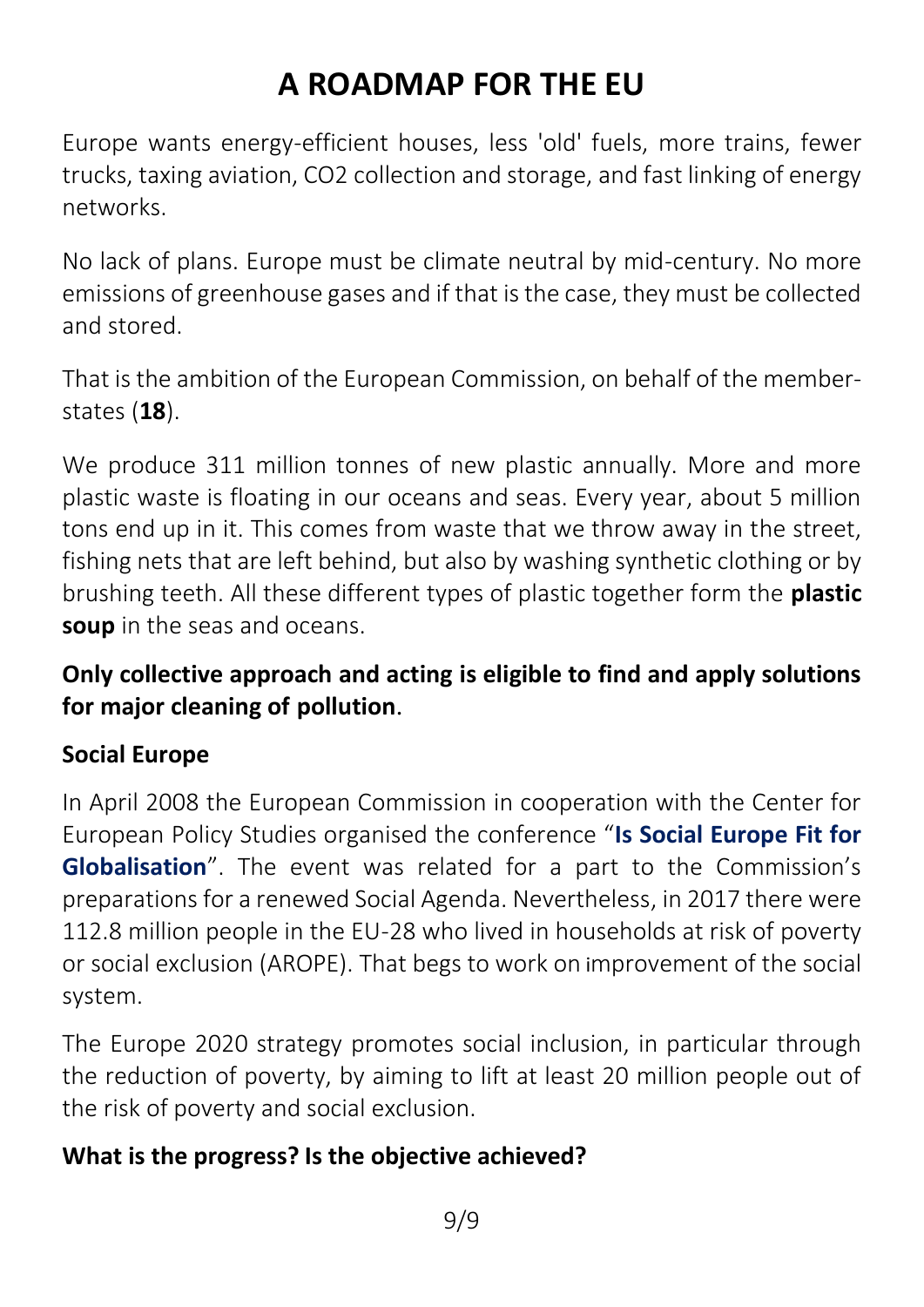Europe wants energy-efficient houses, less 'old' fuels, more trains, fewer trucks, taxing aviation, CO2 collection and storage, and fast linking of energy networks.

No lack of plans. Europe must be climate neutral by mid-century. No more emissions of greenhouse gases and if that is the case, they must be collected and stored.

That is the ambition of the European Commission, on behalf of the memberstates (**18**).

We produce 311 million tonnes of new plastic annually. More and more plastic waste is floating in our oceans and seas. Every year, about 5 million tons end up in it. This comes from waste that we throw away in the street, fishing nets that are left behind, but also by washing synthetic clothing or by brushing teeth. All these different types of plastic together form the **plastic soup** in the seas and oceans.

### **Only collective approach and acting is eligible to find and apply solutions for major cleaning of pollution**.

### **Social Europe**

In April 2008 the European Commission in cooperation with the Center for European Policy Studies organised the conference "**Is [Social Europe Fit for](http://www.feelingeurope.eu/Pages/CEPS%20Is%20social%20Europe%20fit%20for%20Globalisation%203-09-07en16-04-08_en.pdf)  [Globalisation](http://www.feelingeurope.eu/Pages/CEPS%20Is%20social%20Europe%20fit%20for%20Globalisation%203-09-07en16-04-08_en.pdf)**". The event was related for a part to the Commission's preparations for a renewed Social Agenda. Nevertheless, in 2017 there were 112.8 million people in the EU-28 who lived in households at risk of poverty or social exclusion (AROPE). That begs to work on improvement of the social system.

The Europe 2020 strategy promotes social inclusion, in particular through the reduction of poverty, by aiming to lift at least 20 million people out of the risk of poverty and social exclusion.

### **What is the progress? Is the objective achieved?**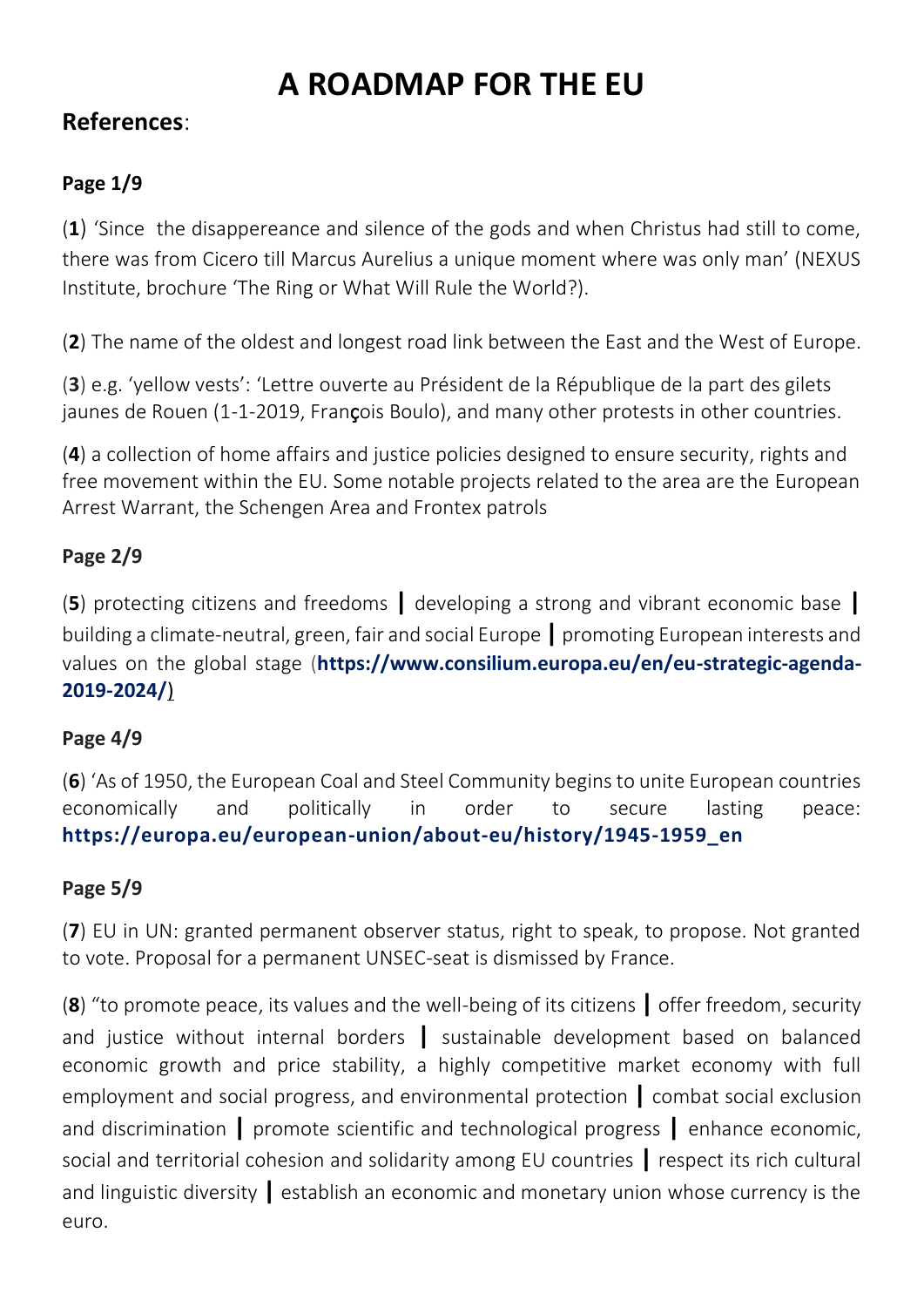#### **References**:

#### **Page 1/9**

(**1**) 'Since the disappereance and silence of the gods and when Christus had still to come, there was from Cicero till Marcus Aurelius a unique moment where was only man' (NEXUS Institute, brochure 'The Ring or What Will Rule the World?).

(**2**) The name of the oldest and longest road link between the East and the West of Europe.

(**3**) e.g. 'yellow vests': 'Lettre ouverte au Président de la République de la part des gilets jaunes de Rouen (1-1-2019, François Boulo), and many other protests in other countries.

(**4**) a collection of home affairs and justice policies designed to ensure security, rights and free movement within the EU. Some notable projects related to the area are the European Arrest Warrant, the Schengen Area and Frontex patrols

#### **Page 2/9**

(**5**) protecting citizens and freedoms **|** developing a strong and vibrant economic base **|** building a climate-neutral, green, fair and social Europe **|** promoting European interests and values on the global stage (**[https://www.consilium.europa.eu/en/eu-strategic-agenda-](https://www.consilium.europa.eu/en/eu-strategic-agenda-2019-2024/)[2019-2024/](https://www.consilium.europa.eu/en/eu-strategic-agenda-2019-2024/)**)

#### **Page 4/9**

(**6**) 'As of 1950, the European Coal and Steel Community begins to unite European countries economically and politically in order to secure lasting peace: **[https://europa.eu/european-union/about-eu/history/1945-1959\\_en](https://europa.eu/european-union/about-eu/history/1945-1959_en)**

#### **Page 5/9**

(**7**) EU in UN: granted permanent observer status, right to speak, to propose. Not granted to vote. Proposal for a permanent UNSEC-seat is dismissed by France.

(**8**) "to promote peace, its values and the well-being of its citizens **|** offer freedom, security and justice without internal borders **|** sustainable development based on balanced economic growth and price stability, a highly competitive market economy with full employment and social progress, and environmental protection **|** combat social exclusion and discrimination **|** promote scientific and technological progress **|** enhance economic, social and territorial cohesion and solidarity among EU countries **|** respect its rich cultural and linguistic diversity **|** establish an economic and monetary union whose currency is the euro.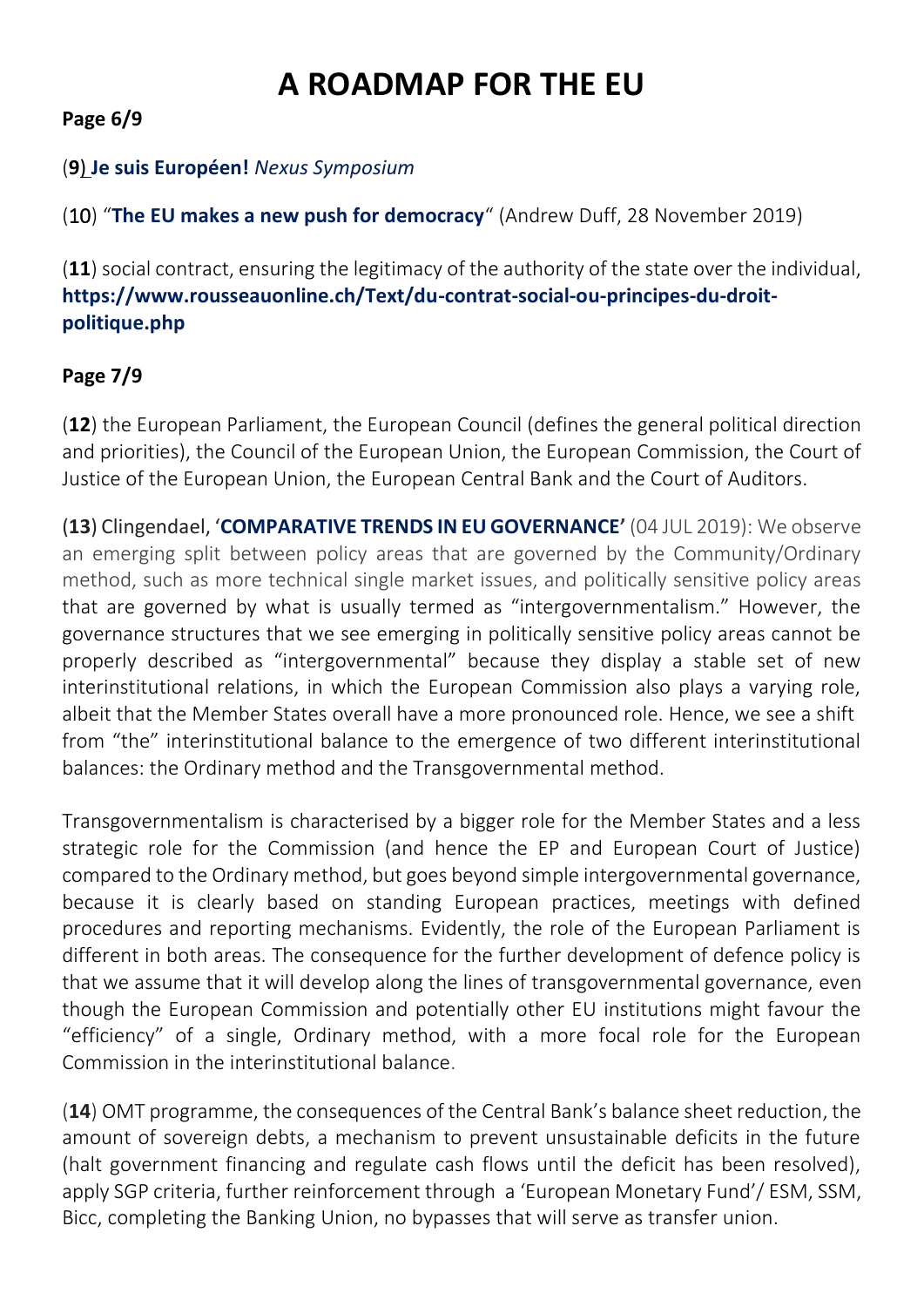#### **Page 6/9**

#### (**9**) **[Je suis Européen!](https://nexus-instituut.nl/en/activity/je-suis-europeen/)** *Nexus Symposium*

(10) "**[The EU makes a new push for democracy](https://wms.flexious.be/editor/plugins/imagemanager/content/2140/PDF/2019/Constitutional_reform.pdf)**" (Andrew Duff, 28 November 2019)

(**11**) social contract, ensuring the legitimacy of the authority of the state over the individual, **[https://www.rousseauonline.ch/Text/du-contrat-social-ou-principes-du-droit](https://www.rousseauonline.ch/Text/du-contrat-social-ou-principes-du-droit-politique.php)[politique.php](https://www.rousseauonline.ch/Text/du-contrat-social-ou-principes-du-droit-politique.php)**

#### **Page 7/9**

(**12**) the European Parliament, the European Council (defines the general political direction and priorities), the Council of the European Union, the European Commission, the Court of Justice of the European Union, the European Central Bank and the Court of Auditors.

(**13**) Clingendael, '**[COMPARATIVE TRENDS IN EU GOVERNANCE](https://www.clingendael.org/publication/comparative-trends-eu-governance)'** (04 JUL 2019): We observe an emerging split between policy areas that are governed by the Community/Ordinary method, such as more technical single market issues, and politically sensitive policy areas that are governed by what is usually termed as "intergovernmentalism." However, the governance structures that we see emerging in politically sensitive policy areas cannot be properly described as "intergovernmental" because they display a stable set of new interinstitutional relations, in which the European Commission also plays a varying role, albeit that the Member States overall have a more pronounced role. Hence, we see a shift from "the" interinstitutional balance to the emergence of two different interinstitutional balances: the Ordinary method and the Transgovernmental method.

Transgovernmentalism is characterised by a bigger role for the Member States and a less strategic role for the Commission (and hence the EP and European Court of Justice) compared to the Ordinary method, but goes beyond simple intergovernmental governance, because it is clearly based on standing European practices, meetings with defined procedures and reporting mechanisms. Evidently, the role of the European Parliament is different in both areas. The consequence for the further development of defence policy is that we assume that it will develop along the lines of transgovernmental governance, even though the European Commission and potentially other EU institutions might favour the "efficiency" of a single, Ordinary method, with a more focal role for the European Commission in the interinstitutional balance.

(**14**) OMT programme, the consequences of the Central Bank's balance sheet reduction, the amount of sovereign debts, a mechanism to prevent unsustainable deficits in the future (halt government financing and regulate cash flows until the deficit has been resolved), apply SGP criteria, further reinforcement through a 'European Monetary Fund'/ ESM, SSM, Bicc, completing the Banking Union, no bypasses that will serve as transfer union.